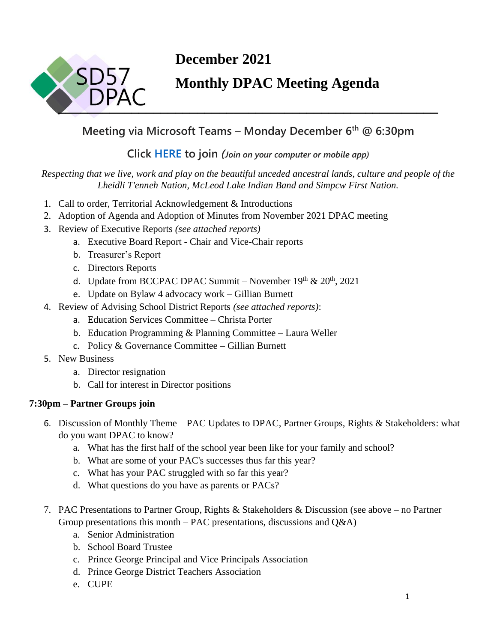

# **December 2021**

# **Monthly DPAC Meeting Agenda**

## **Meeting via Microsoft Teams – Monday December 6 th @ 6:30pm**

### **Click [HERE](https://teams.microsoft.com/l/meetup-join/19%3ameeting_NzFiNTc1ZDctZTFkOS00MzQ0LTllNDQtMzI5YmU2ODExNGUz%40thread.v2/0?context=%7b%22Tid%22%3a%225b9667b0-988f-4a70-b078-286faef38924%22%2c%22Oid%22%3a%226ae3ee8d-cd53-488a-9250-8e0269bbb4d9%22%7d) to join** *(Join on your computer or mobile app)*

#### *Respecting that we live, work and play on the beautiful unceded ancestral lands, culture and people of the Lheidli T'enneh Nation, McLeod Lake Indian Band and Simpcw First Nation.*

- 1. Call to order, Territorial Acknowledgement & Introductions
- 2. Adoption of Agenda and Adoption of Minutes from November 2021 DPAC meeting
- 3. Review of Executive Reports *(see attached reports)*
	- a. Executive Board Report Chair and Vice-Chair reports
	- b. Treasurer's Report
	- c. Directors Reports
	- d. Update from BCCPAC DPAC Summit November  $19<sup>th</sup> \& 20<sup>th</sup>$ , 2021
	- e. Update on Bylaw 4 advocacy work Gillian Burnett
- 4. Review of Advising School District Reports *(see attached reports)*:
	- a. Education Services Committee Christa Porter
	- b. Education Programming & Planning Committee Laura Weller
	- c. Policy & Governance Committee Gillian Burnett
- 5. New Business
	- a. Director resignation
	- b. Call for interest in Director positions

### **7:30pm – Partner Groups join**

- 6. Discussion of Monthly Theme PAC Updates to DPAC, Partner Groups, Rights & Stakeholders: what do you want DPAC to know?
	- a. What has the first half of the school year been like for your family and school?
	- b. What are some of your PAC's successes thus far this year?
	- c. What has your PAC struggled with so far this year?
	- d. What questions do you have as parents or PACs?
- 7. PAC Presentations to Partner Group, Rights & Stakeholders & Discussion (see above no Partner Group presentations this month – PAC presentations, discussions and  $Q&A$ )
	- a. Senior Administration
	- b. School Board Trustee
	- c. Prince George Principal and Vice Principals Association
	- d. Prince George District Teachers Association
	- e. CUPE